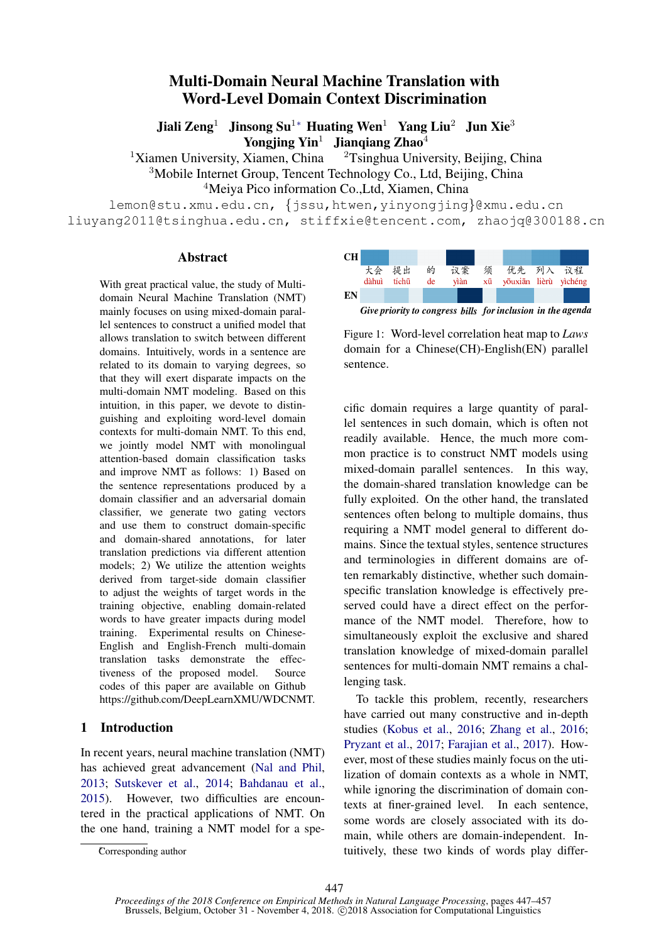# Multi-Domain Neural Machine Translation with Word-Level Domain Context Discrimination

Jiali Zeng<sup>1</sup> Jinsong Su<sup>1</sup>\* Huating Wen<sup>1</sup> Yang Liu<sup>2</sup> Jun Xie<sup>3</sup> Yongjing  $\text{Yin}^1$  Jiangiang Zhao<sup>4</sup>

<sup>1</sup>Xiamen University, Xiamen, China <sup>2</sup>Tsinghua University, Beijing, China <sup>3</sup>Mobile Internet Group, Tencent Technology Co., Ltd, Beijing, China

<sup>4</sup>Meiya Pico information Co.,Ltd, Xiamen, China

lemon@stu.xmu.edu.cn, {jssu,htwen,yinyongjing}@xmu.edu.cn liuyang2011@tsinghua.edu.cn, stiffxie@tencent.com, zhaojq@300188.cn

sentence.

#### Abstract

With great practical value, the study of Multidomain Neural Machine Translation (NMT) mainly focuses on using mixed-domain parallel sentences to construct a unified model that allows translation to switch between different domains. Intuitively, words in a sentence are related to its domain to varying degrees, so that they will exert disparate impacts on the multi-domain NMT modeling. Based on this intuition, in this paper, we devote to distinguishing and exploiting word-level domain contexts for multi-domain NMT. To this end, we jointly model NMT with monolingual attention-based domain classification tasks and improve NMT as follows: 1) Based on the sentence representations produced by a domain classifier and an adversarial domain classifier, we generate two gating vectors and use them to construct domain-specific and domain-shared annotations, for later translation predictions via different attention models; 2) We utilize the attention weights derived from target-side domain classifier to adjust the weights of target words in the training objective, enabling domain-related words to have greater impacts during model training. Experimental results on Chinese-English and English-French multi-domain translation tasks demonstrate the effectiveness of the proposed model. Source codes of this paper are available on Github https://github.com/DeepLearnXMU/WDCNMT.

# 1 Introduction

In recent years, neural machine translation (NMT) has achieved great advancement (Nal and Phil, 2013; Sutskever et al., 2014; Bahdanau et al., 2015). However, two difficulties are encountered in the practical applications of NMT. On the one hand, training a NMT model for a spe-



Figure 1: Word-level correlation heat map to *Laws* domain for a Chinese(CH)-English(EN) parallel

cific domain requires a large quantity of parallel sentences in such domain, which is often not readily available. Hence, the much more common practice is to construct NMT models using mixed-domain parallel sentences. In this way, the domain-shared translation knowledge can be fully exploited. On the other hand, the translated sentences often belong to multiple domains, thus requiring a NMT model general to different domains. Since the textual styles, sentence structures and terminologies in different domains are often remarkably distinctive, whether such domainspecific translation knowledge is effectively preserved could have a direct effect on the performance of the NMT model. Therefore, how to simultaneously exploit the exclusive and shared translation knowledge of mixed-domain parallel sentences for multi-domain NMT remains a challenging task.

To tackle this problem, recently, researchers have carried out many constructive and in-depth studies (Kobus et al., 2016; Zhang et al., 2016; Pryzant et al., 2017; Farajian et al., 2017). However, most of these studies mainly focus on the utilization of domain contexts as a whole in NMT, while ignoring the discrimination of domain contexts at finer-grained level. In each sentence, some words are closely associated with its domain, while others are domain-independent. Intuitively, these two kinds of words play differ-

Corresponding author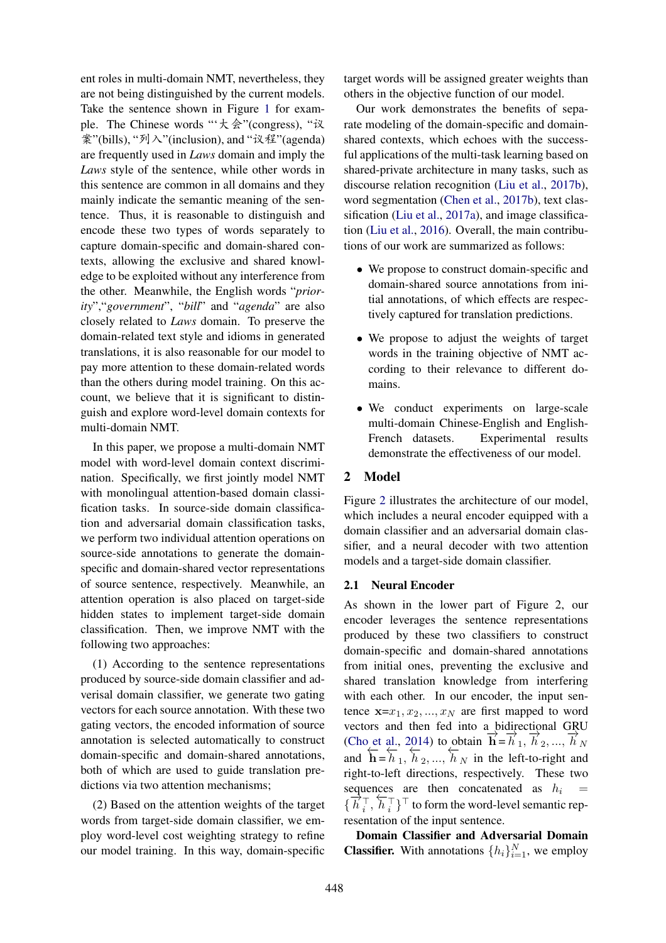ent roles in multi-domain NMT, nevertheless, they are not being distinguished by the current models. Take the sentence shown in Figure 1 for example. The Chinese words "'大会"(congress), "议 案"(bills), "列入"(inclusion), and "议程"(agenda) are frequently used in *Laws* domain and imply the *Laws* style of the sentence, while other words in this sentence are common in all domains and they mainly indicate the semantic meaning of the sentence. Thus, it is reasonable to distinguish and encode these two types of words separately to capture domain-specific and domain-shared contexts, allowing the exclusive and shared knowledge to be exploited without any interference from the other. Meanwhile, the English words "*priority*","*government*", "*bill*" and "*agenda*" are also closely related to *Laws* domain. To preserve the domain-related text style and idioms in generated translations, it is also reasonable for our model to pay more attention to these domain-related words than the others during model training. On this account, we believe that it is significant to distinguish and explore word-level domain contexts for multi-domain NMT.

In this paper, we propose a multi-domain NMT model with word-level domain context discrimination. Specifically, we first jointly model NMT with monolingual attention-based domain classification tasks. In source-side domain classification and adversarial domain classification tasks, we perform two individual attention operations on source-side annotations to generate the domainspecific and domain-shared vector representations of source sentence, respectively. Meanwhile, an attention operation is also placed on target-side hidden states to implement target-side domain classification. Then, we improve NMT with the following two approaches:

(1) According to the sentence representations produced by source-side domain classifier and adverisal domain classifier, we generate two gating vectors for each source annotation. With these two gating vectors, the encoded information of source annotation is selected automatically to construct domain-specific and domain-shared annotations, both of which are used to guide translation predictions via two attention mechanisms;

(2) Based on the attention weights of the target words from target-side domain classifier, we employ word-level cost weighting strategy to refine our model training. In this way, domain-specific

target words will be assigned greater weights than others in the objective function of our model.

Our work demonstrates the benefits of separate modeling of the domain-specific and domainshared contexts, which echoes with the successful applications of the multi-task learning based on shared-private architecture in many tasks, such as discourse relation recognition (Liu et al., 2017b), word segmentation (Chen et al., 2017b), text classification (Liu et al., 2017a), and image classification (Liu et al., 2016). Overall, the main contributions of our work are summarized as follows:

- We propose to construct domain-specific and domain-shared source annotations from initial annotations, of which effects are respectively captured for translation predictions.
- We propose to adjust the weights of target words in the training objective of NMT according to their relevance to different domains.
- We conduct experiments on large-scale multi-domain Chinese-English and English-French datasets. Experimental results demonstrate the effectiveness of our model.

# 2 Model

Figure 2 illustrates the architecture of our model, which includes a neural encoder equipped with a domain classifier and an adversarial domain classifier, and a neural decoder with two attention models and a target-side domain classifier.

#### 2.1 Neural Encoder

As shown in the lower part of Figure 2, our encoder leverages the sentence representations produced by these two classifiers to construct domain-specific and domain-shared annotations from initial ones, preventing the exclusive and shared translation knowledge from interfering with each other. In our encoder, the input sentence  $\mathbf{x} = x_1, x_2, ..., x_N$  are first mapped to word vectors and then fed into a bidirectional GRU (Cho et al., 2014) to obtain  $\overrightarrow{\bf{h}} = \overrightarrow{h}_1$ ,  $\overrightarrow{h}_2$ , ...,  $\overrightarrow{h}_N$ and  $\overrightarrow{h} = \overrightarrow{h}_1, \overrightarrow{h}_2, ..., \overrightarrow{h}_N$  in the left-to-right and right-to-left directions, respectively. These two sequences are then concatenated as  $h_i$  =  $\overrightarrow{h}^{\top}_i$  $\frac{1}{i}$ ,  $\overleftarrow{h}_i^\top$  $\{ \bar{i} \}^\top$  to form the word-level semantic representation of the input sentence.

Domain Classifier and Adversarial Domain **Classifier.** With annotations  $\{h_i\}_{i=1}^N$ , we employ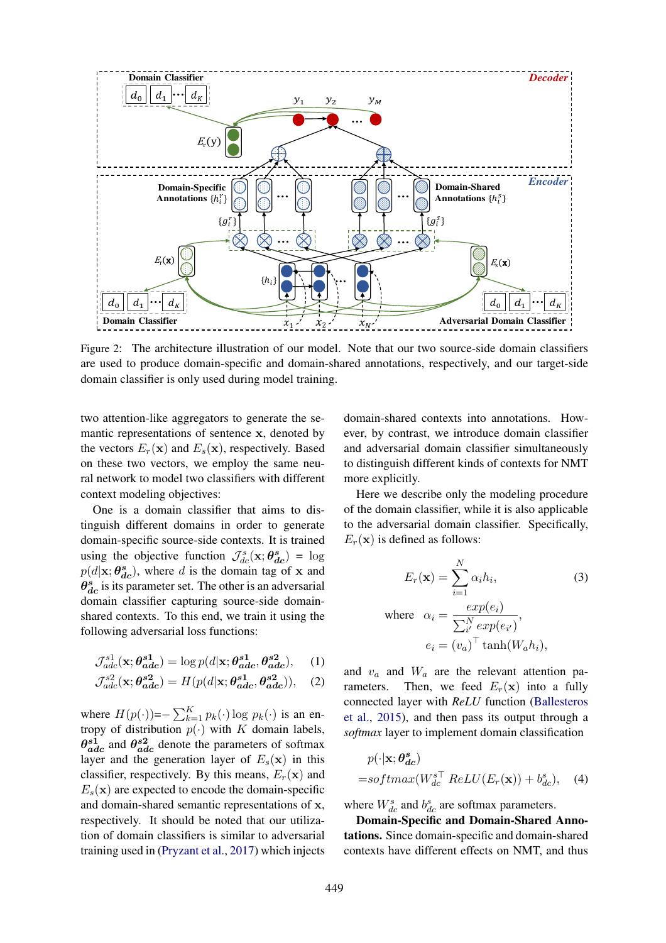

Figure 2: The architecture illustration of our model. Note that our two source-side domain classifiers are used to produce domain-specific and domain-shared annotations, respectively, and our target-side domain classifier is only used during model training.

two attention-like aggregators to generate the semantic representations of sentence x, denoted by the vectors  $E_r(\mathbf{x})$  and  $E_s(\mathbf{x})$ , respectively. Based on these two vectors, we employ the same neural network to model two classifiers with different context modeling objectives:

One is a domain classifier that aims to distinguish different domains in order to generate domain-specific source-side contexts. It is trained using the objective function  $\mathcal{J}_{dc}^s(\mathbf{x}; \theta_{dc}^s) = \log \frac{d\mathbf{x}}{ds}$  $p(d|\mathbf{x}; \theta_{dc}^s)$ , where d is the domain tag of x and  $\theta_{dc}^{s}$  is its parameter set. The other is an adversarial domain classifier capturing source-side domainshared contexts. To this end, we train it using the following adversarial loss functions:

$$
\mathcal{J}_{adc}^{s1}(\mathbf{x}; \boldsymbol{\theta}_{\boldsymbol{a}\boldsymbol{d}\boldsymbol{c}}^{s1}) = \log p(d|\mathbf{x}; \boldsymbol{\theta}_{\boldsymbol{a}\boldsymbol{d}\boldsymbol{c}}^{s1}, \boldsymbol{\theta}_{\boldsymbol{a}\boldsymbol{d}\boldsymbol{c}}^{s2}), \quad (1)
$$

$$
\mathcal{J}_{adc}^{s2}(\mathbf{x}; \boldsymbol{\theta}_{\boldsymbol{a}\boldsymbol{d}\boldsymbol{c}}^{\boldsymbol{s}2}) = H(p(d|\mathbf{x}; \boldsymbol{\theta}_{\boldsymbol{a}\boldsymbol{d}\boldsymbol{c}}^{\boldsymbol{s}1}, \boldsymbol{\theta}_{\boldsymbol{a}\boldsymbol{d}\boldsymbol{c}}^{\boldsymbol{s}2})),
$$
 (2)

where  $H(p(\cdot)) = -\sum_{k=1}^{K} p_k(\cdot) \log p_k(\cdot)$  is an entropy of distribution  $p(\cdot)$  with K domain labels,  $\theta_{adc}^{s1}$  and  $\theta_{adc}^{s2}$  denote the parameters of softmax layer and the generation layer of  $E_s(\mathbf{x})$  in this classifier, respectively. By this means,  $E_r(\mathbf{x})$  and  $E_s(\mathbf{x})$  are expected to encode the domain-specific and domain-shared semantic representations of x, respectively. It should be noted that our utilization of domain classifiers is similar to adversarial training used in (Pryzant et al., 2017) which injects domain-shared contexts into annotations. However, by contrast, we introduce domain classifier and adversarial domain classifier simultaneously to distinguish different kinds of contexts for NMT more explicitly.

Here we describe only the modeling procedure of the domain classifier, while it is also applicable to the adversarial domain classifier. Specifically,  $E_r(\mathbf{x})$  is defined as follows:

$$
E_r(\mathbf{x}) = \sum_{i=1}^{N} \alpha_i h_i,
$$
 (3)  
where 
$$
\alpha_i = \frac{exp(e_i)}{\sum_{i'}^{N} exp(e_{i'})},
$$

$$
e_i = (v_a)^{\top} \tanh(W_a h_i),
$$

and  $v_a$  and  $W_a$  are the relevant attention parameters. Then, we feed  $E_r(\mathbf{x})$  into a fully connected layer with *ReLU* function (Ballesteros et al., 2015), and then pass its output through a *softmax* layer to implement domain classification

$$
p(\cdot|\mathbf{x}; \boldsymbol{\theta}_{dc}^s)
$$
  
=softmax(W\_{dc}^{s\top} ReLU(E\_r(\mathbf{x})) + b\_{dc}^s), (4)

where  $W_{dc}^{s}$  and  $b_{dc}^{s}$  are softmax parameters.

 $\overline{\phantom{a}}$ 

Domain-Specific and Domain-Shared Annotations. Since domain-specific and domain-shared contexts have different effects on NMT, and thus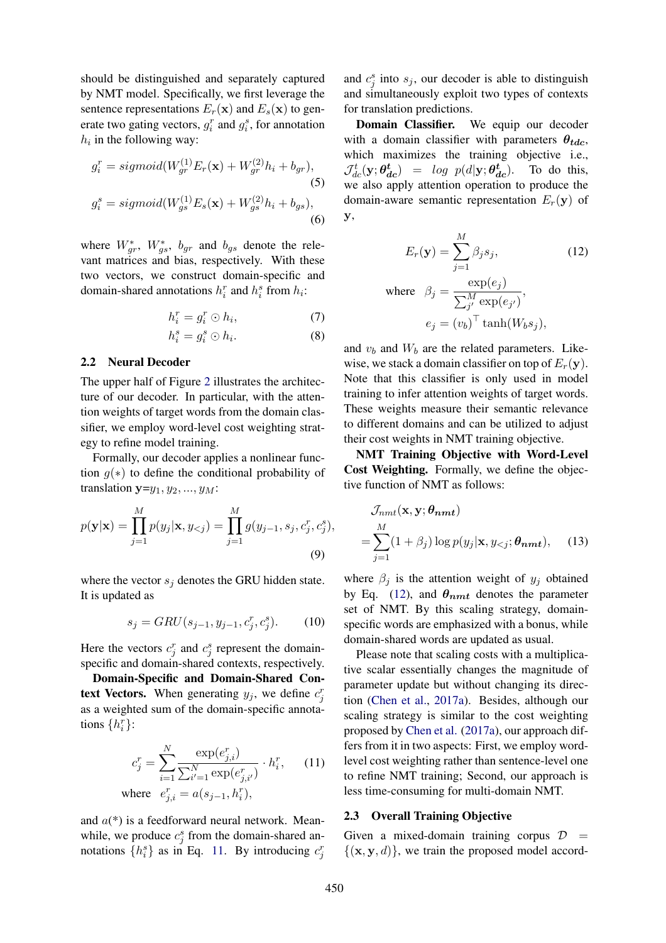should be distinguished and separately captured by NMT model. Specifically, we first leverage the sentence representations  $E_r(\mathbf{x})$  and  $E_s(\mathbf{x})$  to generate two gating vectors,  $g_i^r$  and  $g_i^s$ , for annotation  $h_i$  in the following way:

$$
g_i^r = sigmoid(W_{gr}^{(1)}E_r(\mathbf{x}) + W_{gr}^{(2)}h_i + b_{gr}),
$$
  
(5)  

$$
g_i^s = sigmoid(W_{gs}^{(1)}E_s(\mathbf{x}) + W_{gs}^{(2)}h_i + b_{gs}),
$$
  
(6)

where  $W_{gr}^*$ ,  $W_{gs}^*$ ,  $b_{gr}$  and  $b_{gs}$  denote the relevant matrices and bias, respectively. With these two vectors, we construct domain-specific and domain-shared annotations  $h_i^r$  and  $h_i^s$  from  $h_i$ :

$$
h_i^r = g_i^r \odot h_i,\tag{7}
$$

$$
h_i^s = g_i^s \odot h_i. \tag{8}
$$

#### 2.2 Neural Decoder

The upper half of Figure 2 illustrates the architecture of our decoder. In particular, with the attention weights of target words from the domain classifier, we employ word-level cost weighting strategy to refine model training.

Formally, our decoder applies a nonlinear function  $g(*)$  to define the conditional probability of translation  $y=y_1, y_2, ..., y_M$ :

$$
p(\mathbf{y}|\mathbf{x}) = \prod_{j=1}^{M} p(y_j|\mathbf{x}, y_{< j}) = \prod_{j=1}^{M} g(y_{j-1}, s_j, c_j^r, c_j^s),
$$
\n(9)

where the vector  $s_j$  denotes the GRU hidden state. It is updated as

$$
s_j = GRU(s_{j-1}, y_{j-1}, c_j^r, c_j^s). \tag{10}
$$

Here the vectors  $c_j^r$  and  $c_j^s$  represent the domainspecific and domain-shared contexts, respectively.

Domain-Specific and Domain-Shared Context Vectors. When generating  $y_j$ , we define  $c_j^r$ as a weighted sum of the domain-specific annotations  $\{h_i^r\}$ :

$$
c_j^r = \sum_{i=1}^N \frac{\exp(e_{j,i}^r)}{\sum_{i'=1}^N \exp(e_{j,i'}^r)} \cdot h_i^r,
$$
 (11)  
where  $e_{j,i}^r = a(s_{j-1}, h_i^r),$ 

and  $a(*)$  is a feedforward neural network. Meanwhile, we produce  $c_j^s$  from the domain-shared annotations  $\{h_i^s\}$  as in Eq. 11. By introducing  $c_j^r$ 

and  $c_j^s$  into  $s_j$ , our decoder is able to distinguish and simultaneously exploit two types of contexts for translation predictions.

Domain Classifier. We equip our decoder with a domain classifier with parameters  $\theta_{tdc}$ , which maximizes the training objective i.e.,  $\mathcal{J}_{dc}^{t}(\mathbf{y}; \boldsymbol{\theta}_{dc}^{t}) = log p(d|\mathbf{y}; \boldsymbol{\theta}_{d}^{t})$ To do this, we also apply attention operation to produce the domain-aware semantic representation  $E_r(\mathbf{y})$  of y,

$$
E_r(\mathbf{y}) = \sum_{j=1}^{M} \beta_j s_j,
$$
 (12)  
where  $\beta_j = \frac{\exp(e_j)}{\sum_{j'}^{M} \exp(e_{j'})},$   
 $e_j = (v_b)^{\top} \tanh(W_b s_j),$ 

and  $v<sub>b</sub>$  and  $W<sub>b</sub>$  are the related parameters. Likewise, we stack a domain classifier on top of  $E_r(\mathbf{y})$ . Note that this classifier is only used in model training to infer attention weights of target words. These weights measure their semantic relevance to different domains and can be utilized to adjust their cost weights in NMT training objective.

NMT Training Objective with Word-Level Cost Weighting. Formally, we define the objective function of NMT as follows:

$$
\mathcal{J}_{nmt}(\mathbf{x}, \mathbf{y}; \boldsymbol{\theta}_{nmt})
$$
  
= 
$$
\sum_{j=1}^{M} (1 + \beta_j) \log p(y_j | \mathbf{x}, y_{ (13)
$$

where  $\beta_i$  is the attention weight of  $y_i$  obtained by Eq. (12), and  $\theta_{nmt}$  denotes the parameter set of NMT. By this scaling strategy, domainspecific words are emphasized with a bonus, while domain-shared words are updated as usual.

Please note that scaling costs with a multiplicative scalar essentially changes the magnitude of parameter update but without changing its direction (Chen et al., 2017a). Besides, although our scaling strategy is similar to the cost weighting proposed by Chen et al. (2017a), our approach differs from it in two aspects: First, we employ wordlevel cost weighting rather than sentence-level one to refine NMT training; Second, our approach is less time-consuming for multi-domain NMT.

#### 2.3 Overall Training Objective

Given a mixed-domain training corpus  $\mathcal{D}$  =  $\{(\mathbf{x}, \mathbf{y}, d)\}\)$ , we train the proposed model accord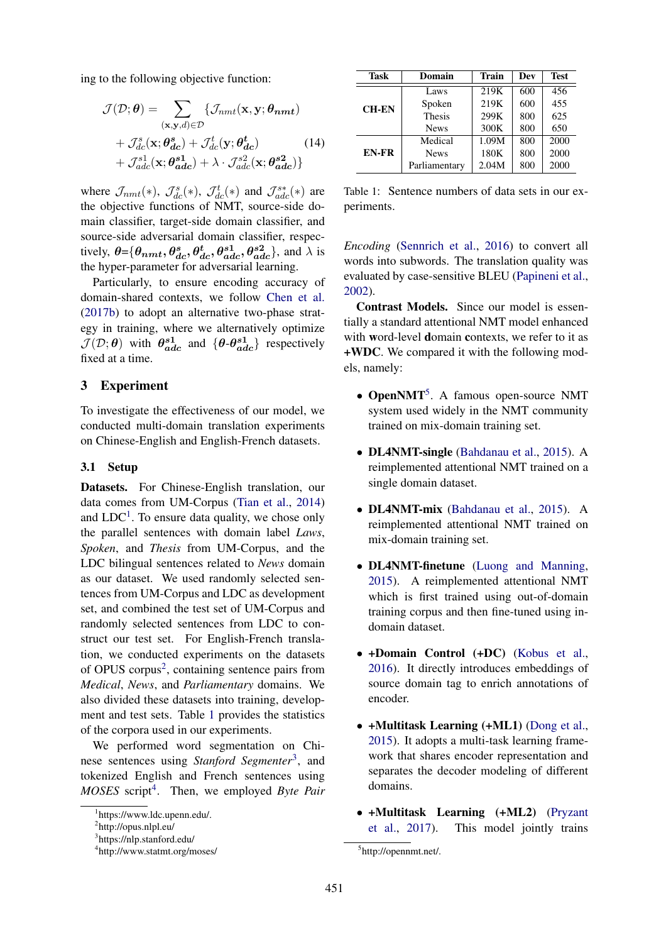ing to the following objective function:

$$
\mathcal{J}(\mathcal{D}; \theta) = \sum_{(\mathbf{x}, \mathbf{y}, d) \in \mathcal{D}} \{ \mathcal{J}_{nmt}(\mathbf{x}, \mathbf{y}; \theta_{nmt}) \n+ \mathcal{J}_{dc}^s(\mathbf{x}; \theta_{dc}^s) + \mathcal{J}_{dc}^t(\mathbf{y}; \theta_{dc}^t) \n+ \mathcal{J}_{adc}^{s1}(\mathbf{x}; \theta_{adc}^{s1}) + \lambda \cdot \mathcal{J}_{adc}^{s2}(\mathbf{x}; \theta_{adc}^{s2}) \}
$$
\n(14)

where  $\mathcal{J}_{nmt}(*), \mathcal{J}_{dc}^s(*), \mathcal{J}_{dc}^t(*)$  and  $\mathcal{J}_{adc}^{s*}(*)$  are the objective functions of NMT, source-side domain classifier, target-side domain classifier, and source-side adversarial domain classifier, respectively,  $\theta = {\theta_{nmt}, \theta_{dc}^s, \theta_{dc}^t, \theta_{adc}^{s1}, \theta_{adc}^{s2}}$ , and  $\lambda$  is the hyper-parameter for adversarial learning.

Particularly, to ensure encoding accuracy of domain-shared contexts, we follow Chen et al. (2017b) to adopt an alternative two-phase strategy in training, where we alternatively optimize  $\mathcal{J}(\mathcal{D}; \theta)$  with  $\theta_{adc}^{s1}$  and  $\{\theta \cdot \theta_{adc}^{s1}\}$  respectively fixed at a time.

#### 3 Experiment

To investigate the effectiveness of our model, we conducted multi-domain translation experiments on Chinese-English and English-French datasets.

#### 3.1 Setup

Datasets. For Chinese-English translation, our data comes from UM-Corpus (Tian et al., 2014) and  $LDC<sup>1</sup>$ . To ensure data quality, we chose only the parallel sentences with domain label *Laws*, *Spoken*, and *Thesis* from UM-Corpus, and the LDC bilingual sentences related to *News* domain as our dataset. We used randomly selected sentences from UM-Corpus and LDC as development set, and combined the test set of UM-Corpus and randomly selected sentences from LDC to construct our test set. For English-French translation, we conducted experiments on the datasets of OPUS corpus<sup>2</sup>, containing sentence pairs from *Medical*, *News*, and *Parliamentary* domains. We also divided these datasets into training, development and test sets. Table 1 provides the statistics of the corpora used in our experiments.

We performed word segmentation on Chinese sentences using *Stanford Segmenter*<sup>3</sup> , and tokenized English and French sentences using *MOSES* script<sup>4</sup> . Then, we employed *Byte Pair*

| Task         | Domain        | <b>Train</b> | Dev | <b>Test</b> |
|--------------|---------------|--------------|-----|-------------|
| <b>CH-EN</b> | Laws          | 219K         | 600 | 456         |
|              | Spoken        | 219K         | 600 | 455         |
|              | <b>Thesis</b> | 299K         | 800 | 625         |
|              | <b>News</b>   | 300K         | 800 | 650         |
| <b>EN-FR</b> | Medical       | 1.09M        | 800 | 2000        |
|              | <b>News</b>   | 180K         | 800 | 2000        |
|              | Parliamentary | 2.04M        | 800 | 2000        |

Table 1: Sentence numbers of data sets in our experiments.

*Encoding* (Sennrich et al., 2016) to convert all words into subwords. The translation quality was evaluated by case-sensitive BLEU (Papineni et al., 2002).

Contrast Models. Since our model is essentially a standard attentional NMT model enhanced with word-level domain contexts, we refer to it as +WDC. We compared it with the following models, namely:

- OpenNMT<sup>5</sup>. A famous open-source NMT system used widely in the NMT community trained on mix-domain training set.
- **DL4NMT-single** (Bahdanau et al., 2015). A reimplemented attentional NMT trained on a single domain dataset.
- DL4NMT-mix (Bahdanau et al., 2015). A reimplemented attentional NMT trained on mix-domain training set.
- DL4NMT-finetune (Luong and Manning, 2015). A reimplemented attentional NMT which is first trained using out-of-domain training corpus and then fine-tuned using indomain dataset.
- +Domain Control (+DC) (Kobus et al., 2016). It directly introduces embeddings of source domain tag to enrich annotations of encoder.
- +Multitask Learning (+ML1) (Dong et al., 2015). It adopts a multi-task learning framework that shares encoder representation and separates the decoder modeling of different domains.
- +Multitask Learning (+ML2) (Pryzant et al., 2017). This model jointly trains

<sup>1</sup> https://www.ldc.upenn.edu/.

<sup>&</sup>lt;sup>2</sup>http://opus.nlpl.eu/

<sup>3</sup> https://nlp.stanford.edu/

<sup>4</sup> http://www.statmt.org/moses/

<sup>5</sup> http://opennmt.net/.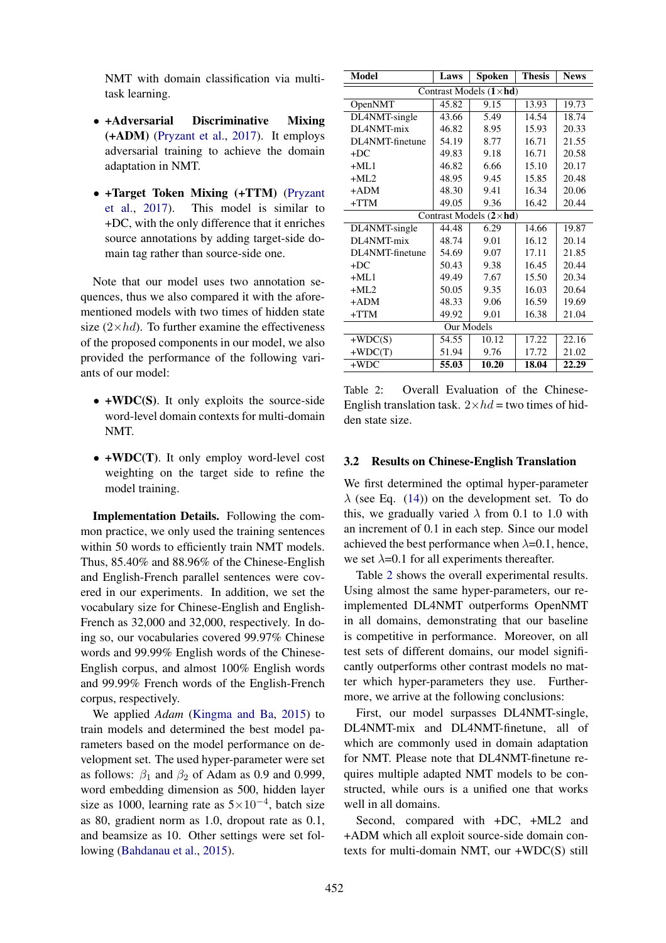NMT with domain classification via multitask learning.

- +Adversarial Discriminative Mixing (+ADM) (Pryzant et al., 2017). It employs adversarial training to achieve the domain adaptation in NMT.
- +Target Token Mixing (+TTM) (Pryzant et al., 2017). This model is similar to +DC, with the only difference that it enriches source annotations by adding target-side domain tag rather than source-side one.

Note that our model uses two annotation sequences, thus we also compared it with the aforementioned models with two times of hidden state size  $(2\times hd)$ . To further examine the effectiveness of the proposed components in our model, we also provided the performance of the following variants of our model:

- +WDC(S). It only exploits the source-side word-level domain contexts for multi-domain NMT.
- +WDC(T). It only employ word-level cost weighting on the target side to refine the model training.

Implementation Details. Following the common practice, we only used the training sentences within 50 words to efficiently train NMT models. Thus, 85.40% and 88.96% of the Chinese-English and English-French parallel sentences were covered in our experiments. In addition, we set the vocabulary size for Chinese-English and English-French as 32,000 and 32,000, respectively. In doing so, our vocabularies covered 99.97% Chinese words and 99.99% English words of the Chinese-English corpus, and almost 100% English words and 99.99% French words of the English-French corpus, respectively.

We applied *Adam* (Kingma and Ba, 2015) to train models and determined the best model parameters based on the model performance on development set. The used hyper-parameter were set as follows:  $\beta_1$  and  $\beta_2$  of Adam as 0.9 and 0.999, word embedding dimension as 500, hidden layer size as 1000, learning rate as  $5 \times 10^{-4}$ , batch size as 80, gradient norm as 1.0, dropout rate as 0.1, and beamsize as 10. Other settings were set following (Bahdanau et al., 2015).

| <b>Model</b>                    | Laws  | Spoken | <b>Thesis</b> | <b>News</b> |  |  |  |  |
|---------------------------------|-------|--------|---------------|-------------|--|--|--|--|
| Contrast Models $(1 \times hd)$ |       |        |               |             |  |  |  |  |
| OpenNMT                         | 45.82 | 9.15   | 13.93         | 19.73       |  |  |  |  |
| DL4NMT-single                   | 43.66 | 5.49   | 14.54         | 18.74       |  |  |  |  |
| DL4NMT-mix                      | 46.82 | 8.95   | 15.93         | 20.33       |  |  |  |  |
| DL4NMT-finetune                 | 54.19 | 8.77   | 16.71         | 21.55       |  |  |  |  |
| $+DC$                           | 49.83 | 9.18   | 16.71         | 20.58       |  |  |  |  |
| $+ML1$                          | 46.82 | 6.66   | 15.10         | 20.17       |  |  |  |  |
| $+MI.2$                         | 48.95 | 9.45   | 15.85         | 20.48       |  |  |  |  |
| $+ADM$                          | 48.30 | 9.41   | 16.34         | 20.06       |  |  |  |  |
| +TTM                            | 49.05 | 9.36   | 16.42         | 20.44       |  |  |  |  |
| Contrast Models $(2 \times hd)$ |       |        |               |             |  |  |  |  |
| DL4NMT-single                   | 44.48 | 6.29   | 14.66         | 19.87       |  |  |  |  |
| DL4NMT-mix                      | 48.74 | 9.01   | 16.12         | 20.14       |  |  |  |  |
| DL4NMT-finetune                 | 54.69 | 9.07   | 17.11         | 21.85       |  |  |  |  |
| $+DC$                           | 50.43 | 9.38   | 16.45         | 20.44       |  |  |  |  |
| $+ML1$                          | 49.49 | 7.67   | 15.50         | 20.34       |  |  |  |  |
| $+ML2$                          | 50.05 | 9.35   | 16.03         | 20.64       |  |  |  |  |
| $+ADM$                          | 48.33 | 9.06   | 16.59         | 19.69       |  |  |  |  |
| +TTM                            | 49.92 | 9.01   | 16.38         | 21.04       |  |  |  |  |
| Our Models                      |       |        |               |             |  |  |  |  |
| $+WDC(S)$                       | 54.55 | 10.12  | 17.22         | 22.16       |  |  |  |  |
| $+WDC(T)$                       | 51.94 | 9.76   | 17.72         | 21.02       |  |  |  |  |
| $+WDC$                          | 55.03 | 10.20  | 18.04         | 22.29       |  |  |  |  |

Table 2: Overall Evaluation of the Chinese-English translation task.  $2 \times hd =$  two times of hidden state size.

#### 3.2 Results on Chinese-English Translation

We first determined the optimal hyper-parameter  $\lambda$  (see Eq. (14)) on the development set. To do this, we gradually varied  $\lambda$  from 0.1 to 1.0 with an increment of 0.1 in each step. Since our model achieved the best performance when  $\lambda$ =0.1, hence, we set  $\lambda$ =0.1 for all experiments thereafter.

Table 2 shows the overall experimental results. Using almost the same hyper-parameters, our reimplemented DL4NMT outperforms OpenNMT in all domains, demonstrating that our baseline is competitive in performance. Moreover, on all test sets of different domains, our model significantly outperforms other contrast models no matter which hyper-parameters they use. Furthermore, we arrive at the following conclusions:

First, our model surpasses DL4NMT-single, DL4NMT-mix and DL4NMT-finetune, all of which are commonly used in domain adaptation for NMT. Please note that DL4NMT-finetune requires multiple adapted NMT models to be constructed, while ours is a unified one that works well in all domains.

Second, compared with +DC, +ML2 and +ADM which all exploit source-side domain contexts for multi-domain NMT, our +WDC(S) still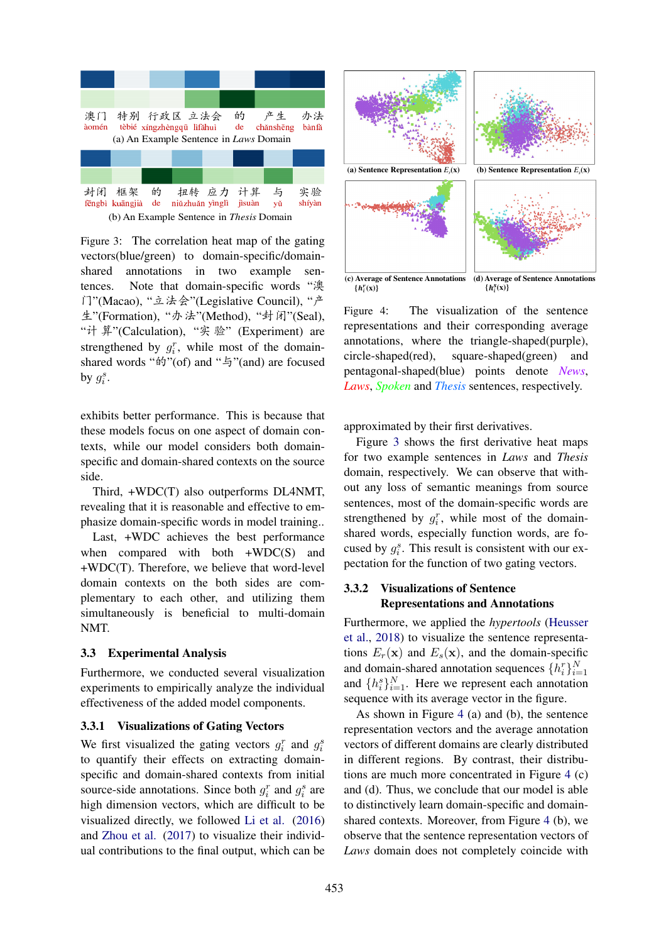

Figure 3: The correlation heat map of the gating vectors(blue/green) to domain-specific/domainshared annotations in two example sentences. Note that domain-specific words "澳 门"(Macao), "立法会"(Legislative Council), "产 生"(Formation), "办法"(Method), "封闭"(Seal), "计 算"(Calculation), "实 验" (Experiment) are strengthened by  $g_i^r$ , while most of the domainshared words " $\acute{p}$ "(of) and " $\acute{p}$ "(and) are focused by  $g_i^s$ .

exhibits better performance. This is because that these models focus on one aspect of domain contexts, while our model considers both domainspecific and domain-shared contexts on the source side.

Third, +WDC(T) also outperforms DL4NMT, revealing that it is reasonable and effective to emphasize domain-specific words in model training..

Last, +WDC achieves the best performance when compared with both +WDC(S) and +WDC(T). Therefore, we believe that word-level domain contexts on the both sides are complementary to each other, and utilizing them simultaneously is beneficial to multi-domain NMT.

#### 3.3 Experimental Analysis

Furthermore, we conducted several visualization experiments to empirically analyze the individual effectiveness of the added model components.

#### 3.3.1 Visualizations of Gating Vectors

We first visualized the gating vectors  $g_i^r$  and  $g_i^s$ to quantify their effects on extracting domainspecific and domain-shared contexts from initial source-side annotations. Since both  $g_i^r$  and  $g_i^s$  are high dimension vectors, which are difficult to be visualized directly, we followed Li et al. (2016) and Zhou et al. (2017) to visualize their individual contributions to the final output, which can be



 $\{h_i^r(x)\}$  $\{h_i^s(\mathbf{x})\}$ 

Figure 4: The visualization of the sentence representations and their corresponding average annotations, where the triangle-shaped(purple), circle-shaped(red), square-shaped(green) and pentagonal-shaped(blue) points denote *News*, *Laws*, *Spoken* and *Thesis* sentences, respectively.

approximated by their first derivatives.

Figure 3 shows the first derivative heat maps for two example sentences in *Laws* and *Thesis* domain, respectively. We can observe that without any loss of semantic meanings from source sentences, most of the domain-specific words are strengthened by  $g_i^r$ , while most of the domainshared words, especially function words, are focused by  $g_i^s$ . This result is consistent with our expectation for the function of two gating vectors.

# 3.3.2 Visualizations of Sentence Representations and Annotations

Furthermore, we applied the *hypertools* (Heusser et al., 2018) to visualize the sentence representations  $E_r(\mathbf{x})$  and  $E_s(\mathbf{x})$ , and the domain-specific and domain-shared annotation sequences  $\{h_i^r\}_{i=1}^N$ and  $\{h_i^s\}_{i=1}^N$ . Here we represent each annotation sequence with its average vector in the figure.

As shown in Figure 4 (a) and (b), the sentence representation vectors and the average annotation vectors of different domains are clearly distributed in different regions. By contrast, their distributions are much more concentrated in Figure 4 (c) and (d). Thus, we conclude that our model is able to distinctively learn domain-specific and domainshared contexts. Moreover, from Figure 4 (b), we observe that the sentence representation vectors of *Laws* domain does not completely coincide with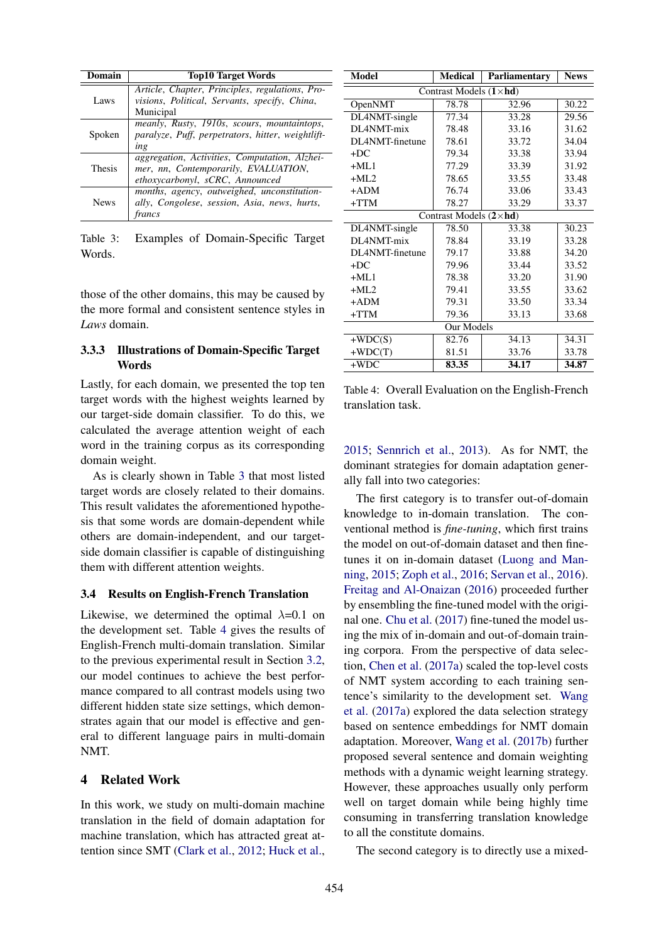| Domain        | <b>Top10 Target Words</b>                                                                                                |  |  |
|---------------|--------------------------------------------------------------------------------------------------------------------------|--|--|
| Laws          | Article, Chapter, Principles, regulations, Pro-<br>visions, Political, Servants, specify, China,<br>Municipal            |  |  |
| Spoken        | meanly, Rusty, 1910s, scours, mountaintops,<br>paralyze, Puff, perpetrators, hitter, weightlift-<br>ing                  |  |  |
| <b>Thesis</b> | aggregation, Activities, Computation, Alzhei-<br>mer, nn, Contemporarily, EVALUATION,<br>ethoxycarbonyl, sCRC, Announced |  |  |
| <b>News</b>   | months, agency, outweighed, unconstitution-<br>ally, Congolese, session, Asia, news, hurts,<br>francs                    |  |  |

Table 3: Examples of Domain-Specific Target Words.

those of the other domains, this may be caused by the more formal and consistent sentence styles in *Laws* domain.

# 3.3.3 Illustrations of Domain-Specific Target Words

Lastly, for each domain, we presented the top ten target words with the highest weights learned by our target-side domain classifier. To do this, we calculated the average attention weight of each word in the training corpus as its corresponding domain weight.

As is clearly shown in Table 3 that most listed target words are closely related to their domains. This result validates the aforementioned hypothesis that some words are domain-dependent while others are domain-independent, and our targetside domain classifier is capable of distinguishing them with different attention weights.

#### 3.4 Results on English-French Translation

Likewise, we determined the optimal  $\lambda$ =0.1 on the development set. Table 4 gives the results of English-French multi-domain translation. Similar to the previous experimental result in Section 3.2, our model continues to achieve the best performance compared to all contrast models using two different hidden state size settings, which demonstrates again that our model is effective and general to different language pairs in multi-domain NMT.

#### 4 Related Work

In this work, we study on multi-domain machine translation in the field of domain adaptation for machine translation, which has attracted great attention since SMT (Clark et al., 2012; Huck et al.,

| <b>Model</b>                    | <b>Medical</b> | Parliamentary | <b>News</b> |  |  |  |  |
|---------------------------------|----------------|---------------|-------------|--|--|--|--|
| Contrast Models $(1 \times hd)$ |                |               |             |  |  |  |  |
| OpenNMT                         | 78.78          | 32.96         | 30.22       |  |  |  |  |
| DL4NMT-single                   | 77.34          | 33.28         | 29.56       |  |  |  |  |
| DL4NMT-mix                      | 78.48          | 33.16         | 31.62       |  |  |  |  |
| DL4NMT-finetune                 | 78.61          | 33.72         | 34.04       |  |  |  |  |
| $+DC$                           | 79.34          | 33.38         | 33.94       |  |  |  |  |
| $+ML1$                          | 77.29          | 33.39         | 31.92       |  |  |  |  |
| $+ML2$                          | 78.65          | 33.55         | 33.48       |  |  |  |  |
| $+ADM$                          | 76.74          | 33.06         | 33.43       |  |  |  |  |
| $+TTM$                          | 78.27          | 33.29         | 33.37       |  |  |  |  |
| Contrast Models $(2 \times hd)$ |                |               |             |  |  |  |  |
| DL4NMT-single                   | 78.50          | 33.38         | 30.23       |  |  |  |  |
| DL4NMT-mix                      | 78.84          | 33.19         | 33.28       |  |  |  |  |
| DL4NMT-finetune                 | 79.17          | 33.88         | 34.20       |  |  |  |  |
| $+DC$                           | 79.96          | 33.44         | 33.52       |  |  |  |  |
| $+ML1$                          | 78.38          | 33.20         | 31.90       |  |  |  |  |
| $+MI.2$                         | 79.41          | 33.55         | 33.62       |  |  |  |  |
| $+ADM$                          | 79.31          | 33.50         | 33.34       |  |  |  |  |
| $+TTM$                          | 79.36          | 33.13         | 33.68       |  |  |  |  |
| Our Models                      |                |               |             |  |  |  |  |
| $+WDC(S)$                       | 82.76          | 34.13         | 34.31       |  |  |  |  |
| $+WDC(T)$                       | 81.51          | 33.76         | 33.78       |  |  |  |  |
| $+WDC$                          | 83.35          | 34.17         | 34.87       |  |  |  |  |

Table 4: Overall Evaluation on the English-French translation task.

2015; Sennrich et al., 2013). As for NMT, the dominant strategies for domain adaptation generally fall into two categories:

The first category is to transfer out-of-domain knowledge to in-domain translation. The conventional method is *fine-tuning*, which first trains the model on out-of-domain dataset and then finetunes it on in-domain dataset (Luong and Manning, 2015; Zoph et al., 2016; Servan et al., 2016). Freitag and Al-Onaizan (2016) proceeded further by ensembling the fine-tuned model with the original one. Chu et al. (2017) fine-tuned the model using the mix of in-domain and out-of-domain training corpora. From the perspective of data selection, Chen et al. (2017a) scaled the top-level costs of NMT system according to each training sentence's similarity to the development set. Wang et al. (2017a) explored the data selection strategy based on sentence embeddings for NMT domain adaptation. Moreover, Wang et al. (2017b) further proposed several sentence and domain weighting methods with a dynamic weight learning strategy. However, these approaches usually only perform well on target domain while being highly time consuming in transferring translation knowledge to all the constitute domains.

The second category is to directly use a mixed-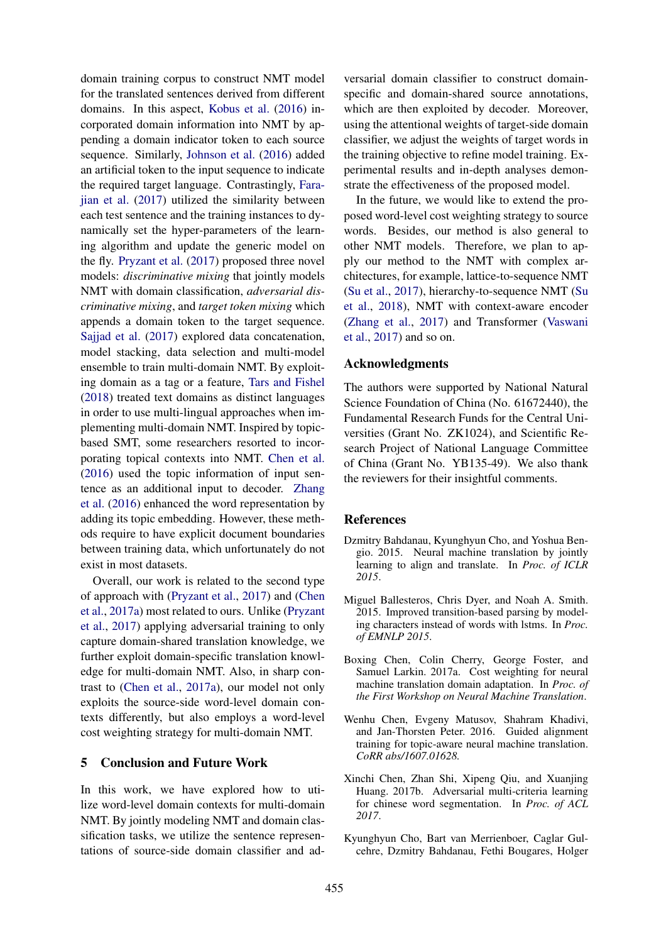domain training corpus to construct NMT model for the translated sentences derived from different domains. In this aspect, Kobus et al. (2016) incorporated domain information into NMT by appending a domain indicator token to each source sequence. Similarly, Johnson et al. (2016) added an artificial token to the input sequence to indicate the required target language. Contrastingly, Farajian et al. (2017) utilized the similarity between each test sentence and the training instances to dynamically set the hyper-parameters of the learning algorithm and update the generic model on the fly. Pryzant et al. (2017) proposed three novel models: *discriminative mixing* that jointly models NMT with domain classification, *adversarial discriminative mixing*, and *target token mixing* which appends a domain token to the target sequence. Sajjad et al. (2017) explored data concatenation, model stacking, data selection and multi-model ensemble to train multi-domain NMT. By exploiting domain as a tag or a feature, Tars and Fishel (2018) treated text domains as distinct languages in order to use multi-lingual approaches when implementing multi-domain NMT. Inspired by topicbased SMT, some researchers resorted to incorporating topical contexts into NMT. Chen et al. (2016) used the topic information of input sentence as an additional input to decoder. Zhang et al. (2016) enhanced the word representation by adding its topic embedding. However, these methods require to have explicit document boundaries between training data, which unfortunately do not exist in most datasets.

Overall, our work is related to the second type of approach with (Pryzant et al., 2017) and (Chen et al., 2017a) most related to ours. Unlike (Pryzant et al., 2017) applying adversarial training to only capture domain-shared translation knowledge, we further exploit domain-specific translation knowledge for multi-domain NMT. Also, in sharp contrast to (Chen et al., 2017a), our model not only exploits the source-side word-level domain contexts differently, but also employs a word-level cost weighting strategy for multi-domain NMT.

#### 5 Conclusion and Future Work

In this work, we have explored how to utilize word-level domain contexts for multi-domain NMT. By jointly modeling NMT and domain classification tasks, we utilize the sentence representations of source-side domain classifier and adversarial domain classifier to construct domainspecific and domain-shared source annotations, which are then exploited by decoder. Moreover, using the attentional weights of target-side domain classifier, we adjust the weights of target words in the training objective to refine model training. Experimental results and in-depth analyses demonstrate the effectiveness of the proposed model.

In the future, we would like to extend the proposed word-level cost weighting strategy to source words. Besides, our method is also general to other NMT models. Therefore, we plan to apply our method to the NMT with complex architectures, for example, lattice-to-sequence NMT (Su et al., 2017), hierarchy-to-sequence NMT (Su et al., 2018), NMT with context-aware encoder (Zhang et al., 2017) and Transformer (Vaswani et al., 2017) and so on.

#### Acknowledgments

The authors were supported by National Natural Science Foundation of China (No. 61672440), the Fundamental Research Funds for the Central Universities (Grant No. ZK1024), and Scientific Research Project of National Language Committee of China (Grant No. YB135-49). We also thank the reviewers for their insightful comments.

#### References

- Dzmitry Bahdanau, Kyunghyun Cho, and Yoshua Bengio. 2015. Neural machine translation by jointly learning to align and translate. In *Proc. of ICLR 2015*.
- Miguel Ballesteros, Chris Dyer, and Noah A. Smith. 2015. Improved transition-based parsing by modeling characters instead of words with lstms. In *Proc. of EMNLP 2015*.
- Boxing Chen, Colin Cherry, George Foster, and Samuel Larkin. 2017a. Cost weighting for neural machine translation domain adaptation. In *Proc. of the First Workshop on Neural Machine Translation*.
- Wenhu Chen, Evgeny Matusov, Shahram Khadivi, and Jan-Thorsten Peter. 2016. Guided alignment training for topic-aware neural machine translation. *CoRR abs/1607.01628.*
- Xinchi Chen, Zhan Shi, Xipeng Qiu, and Xuanjing Huang. 2017b. Adversarial multi-criteria learning for chinese word segmentation. In *Proc. of ACL 2017*.
- Kyunghyun Cho, Bart van Merrienboer, Caglar Gulcehre, Dzmitry Bahdanau, Fethi Bougares, Holger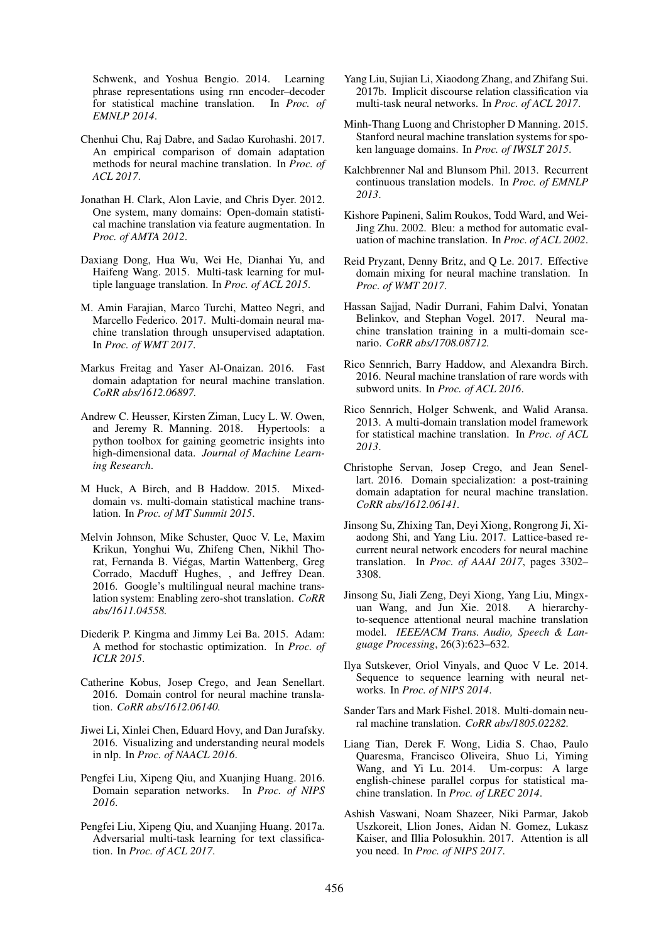Schwenk, and Yoshua Bengio. 2014. Learning phrase representations using rnn encoder–decoder for statistical machine translation. In *Proc. of EMNLP 2014*.

- Chenhui Chu, Raj Dabre, and Sadao Kurohashi. 2017. An empirical comparison of domain adaptation methods for neural machine translation. In *Proc. of ACL 2017*.
- Jonathan H. Clark, Alon Lavie, and Chris Dyer. 2012. One system, many domains: Open-domain statistical machine translation via feature augmentation. In *Proc. of AMTA 2012*.
- Daxiang Dong, Hua Wu, Wei He, Dianhai Yu, and Haifeng Wang. 2015. Multi-task learning for multiple language translation. In *Proc. of ACL 2015*.
- M. Amin Farajian, Marco Turchi, Matteo Negri, and Marcello Federico. 2017. Multi-domain neural machine translation through unsupervised adaptation. In *Proc. of WMT 2017*.
- Markus Freitag and Yaser Al-Onaizan. 2016. Fast domain adaptation for neural machine translation. *CoRR abs/1612.06897.*
- Andrew C. Heusser, Kirsten Ziman, Lucy L. W. Owen, and Jeremy R. Manning. 2018. Hypertools: a python toolbox for gaining geometric insights into high-dimensional data. *Journal of Machine Learning Research*.
- M Huck, A Birch, and B Haddow. 2015. Mixeddomain vs. multi-domain statistical machine translation. In *Proc. of MT Summit 2015*.
- Melvin Johnson, Mike Schuster, Quoc V. Le, Maxim Krikun, Yonghui Wu, Zhifeng Chen, Nikhil Thorat, Fernanda B. Viegas, Martin Wattenberg, Greg ´ Corrado, Macduff Hughes, , and Jeffrey Dean. 2016. Google's multilingual neural machine translation system: Enabling zero-shot translation. *CoRR abs/1611.04558.*
- Diederik P. Kingma and Jimmy Lei Ba. 2015. Adam: A method for stochastic optimization. In *Proc. of ICLR 2015*.
- Catherine Kobus, Josep Crego, and Jean Senellart. 2016. Domain control for neural machine translation. *CoRR abs/1612.06140.*
- Jiwei Li, Xinlei Chen, Eduard Hovy, and Dan Jurafsky. 2016. Visualizing and understanding neural models in nlp. In *Proc. of NAACL 2016*.
- Pengfei Liu, Xipeng Qiu, and Xuanjing Huang. 2016. Domain separation networks. In *Proc. of NIPS 2016*.
- Pengfei Liu, Xipeng Qiu, and Xuanjing Huang. 2017a. Adversarial multi-task learning for text classification. In *Proc. of ACL 2017*.
- Yang Liu, Sujian Li, Xiaodong Zhang, and Zhifang Sui. 2017b. Implicit discourse relation classification via multi-task neural networks. In *Proc. of ACL 2017*.
- Minh-Thang Luong and Christopher D Manning. 2015. Stanford neural machine translation systems for spoken language domains. In *Proc. of IWSLT 2015*.
- Kalchbrenner Nal and Blunsom Phil. 2013. Recurrent continuous translation models. In *Proc. of EMNLP 2013*.
- Kishore Papineni, Salim Roukos, Todd Ward, and Wei-Jing Zhu. 2002. Bleu: a method for automatic evaluation of machine translation. In *Proc. of ACL 2002*.
- Reid Pryzant, Denny Britz, and Q Le. 2017. Effective domain mixing for neural machine translation. In *Proc. of WMT 2017*.
- Hassan Sajjad, Nadir Durrani, Fahim Dalvi, Yonatan Belinkov, and Stephan Vogel. 2017. Neural machine translation training in a multi-domain scenario. *CoRR abs/1708.08712.*
- Rico Sennrich, Barry Haddow, and Alexandra Birch. 2016. Neural machine translation of rare words with subword units. In *Proc. of ACL 2016*.
- Rico Sennrich, Holger Schwenk, and Walid Aransa. 2013. A multi-domain translation model framework for statistical machine translation. In *Proc. of ACL 2013*.
- Christophe Servan, Josep Crego, and Jean Senellart. 2016. Domain specialization: a post-training domain adaptation for neural machine translation. *CoRR abs/1612.06141.*
- Jinsong Su, Zhixing Tan, Deyi Xiong, Rongrong Ji, Xiaodong Shi, and Yang Liu. 2017. Lattice-based recurrent neural network encoders for neural machine translation. In *Proc. of AAAI 2017*, pages 3302– 3308.
- Jinsong Su, Jiali Zeng, Deyi Xiong, Yang Liu, Mingxuan Wang, and Jun Xie. 2018. A hierarchyto-sequence attentional neural machine translation model. *IEEE/ACM Trans. Audio, Speech & Language Processing*, 26(3):623–632.
- Ilya Sutskever, Oriol Vinyals, and Quoc V Le. 2014. Sequence to sequence learning with neural networks. In *Proc. of NIPS 2014*.
- Sander Tars and Mark Fishel. 2018. Multi-domain neural machine translation. *CoRR abs/1805.02282.*
- Liang Tian, Derek F. Wong, Lidia S. Chao, Paulo Quaresma, Francisco Oliveira, Shuo Li, Yiming Wang, and Yi Lu. 2014. Um-corpus: A large english-chinese parallel corpus for statistical machine translation. In *Proc. of LREC 2014*.
- Ashish Vaswani, Noam Shazeer, Niki Parmar, Jakob Uszkoreit, Llion Jones, Aidan N. Gomez, Lukasz Kaiser, and Illia Polosukhin. 2017. Attention is all you need. In *Proc. of NIPS 2017*.